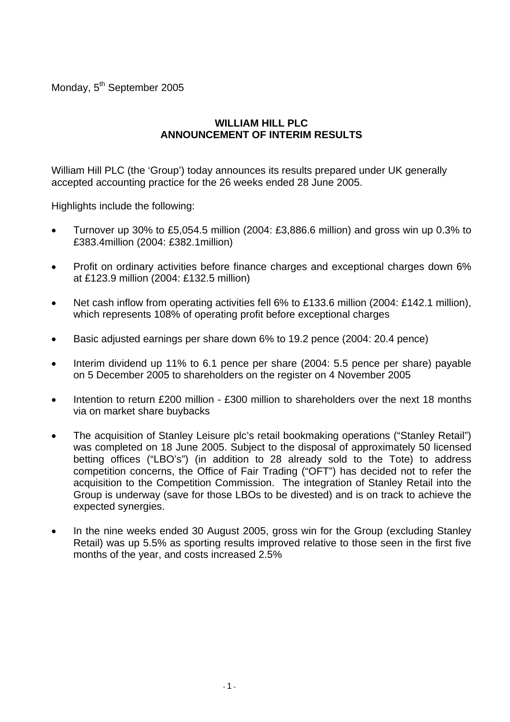Monday, 5<sup>th</sup> September 2005

# **WILLIAM HILL PLC ANNOUNCEMENT OF INTERIM RESULTS**

William Hill PLC (the 'Group') today announces its results prepared under UK generally accepted accounting practice for the 26 weeks ended 28 June 2005.

Highlights include the following:

- Turnover up 30% to £5,054.5 million (2004: £3,886.6 million) and gross win up 0.3% to £383.4million (2004: £382.1million)
- Profit on ordinary activities before finance charges and exceptional charges down 6% at £123.9 million (2004: £132.5 million)
- Net cash inflow from operating activities fell 6% to £133.6 million (2004: £142.1 million), which represents 108% of operating profit before exceptional charges
- Basic adjusted earnings per share down 6% to 19.2 pence (2004: 20.4 pence)
- Interim dividend up 11% to 6.1 pence per share (2004: 5.5 pence per share) payable on 5 December 2005 to shareholders on the register on 4 November 2005
- Intention to return £200 million £300 million to shareholders over the next 18 months via on market share buybacks
- The acquisition of Stanley Leisure plc's retail bookmaking operations ("Stanley Retail") was completed on 18 June 2005. Subject to the disposal of approximately 50 licensed betting offices ("LBO's") (in addition to 28 already sold to the Tote) to address competition concerns, the Office of Fair Trading ("OFT") has decided not to refer the acquisition to the Competition Commission. The integration of Stanley Retail into the Group is underway (save for those LBOs to be divested) and is on track to achieve the expected synergies.
- In the nine weeks ended 30 August 2005, gross win for the Group (excluding Stanley Retail) was up 5.5% as sporting results improved relative to those seen in the first five months of the year, and costs increased 2.5%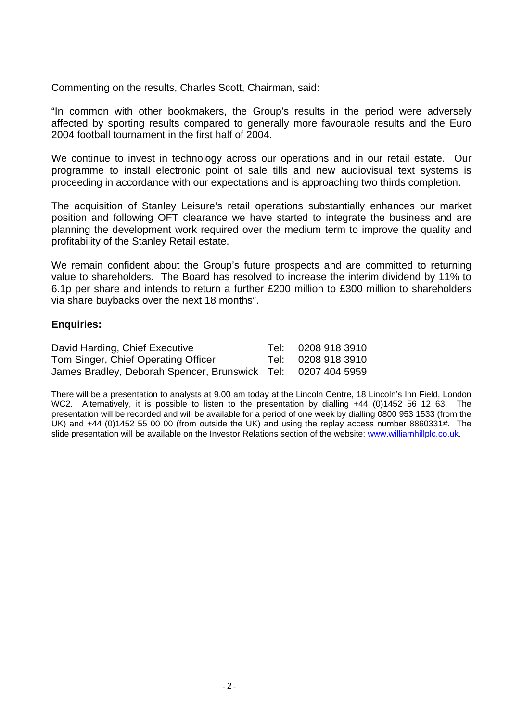Commenting on the results, Charles Scott, Chairman, said:

"In common with other bookmakers, the Group's results in the period were adversely affected by sporting results compared to generally more favourable results and the Euro 2004 football tournament in the first half of 2004.

We continue to invest in technology across our operations and in our retail estate. Our programme to install electronic point of sale tills and new audiovisual text systems is proceeding in accordance with our expectations and is approaching two thirds completion.

The acquisition of Stanley Leisure's retail operations substantially enhances our market position and following OFT clearance we have started to integrate the business and are planning the development work required over the medium term to improve the quality and profitability of the Stanley Retail estate.

We remain confident about the Group's future prospects and are committed to returning value to shareholders. The Board has resolved to increase the interim dividend by 11% to 6.1p per share and intends to return a further £200 million to £300 million to shareholders via share buybacks over the next 18 months".

### **Enquiries:**

| David Harding, Chief Executive                               | Tel: 0208 918 3910 |
|--------------------------------------------------------------|--------------------|
| Tom Singer, Chief Operating Officer                          | Tel: 0208 918 3910 |
| James Bradley, Deborah Spencer, Brunswick Tel: 0207 404 5959 |                    |

There will be a presentation to analysts at 9.00 am today at the Lincoln Centre, 18 Lincoln's Inn Field, London WC2. Alternatively, it is possible to listen to the presentation by dialling +44 (0)1452 56 12 63. The presentation will be recorded and will be available for a period of one week by dialling 0800 953 1533 (from the UK) and +44 (0)1452 55 00 00 (from outside the UK) and using the replay access number 8860331#. The slide presentation will be available on the Investor Relations section of the website: www.williamhillplc.co.uk.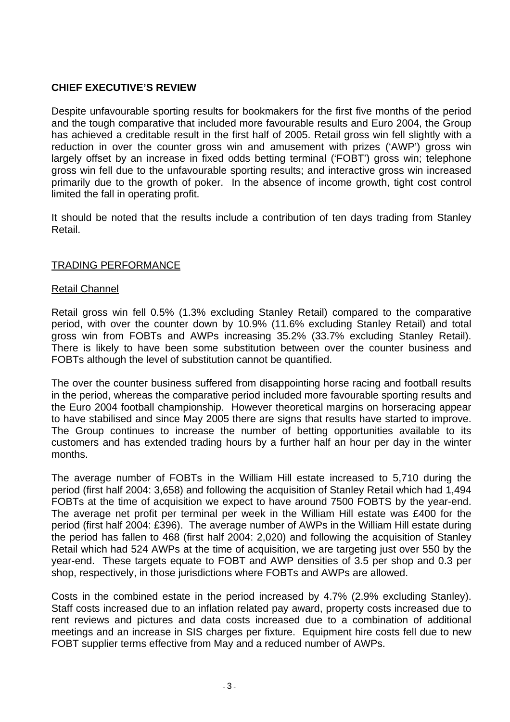# **CHIEF EXECUTIVE'S REVIEW**

Despite unfavourable sporting results for bookmakers for the first five months of the period and the tough comparative that included more favourable results and Euro 2004, the Group has achieved a creditable result in the first half of 2005. Retail gross win fell slightly with a reduction in over the counter gross win and amusement with prizes ('AWP') gross win largely offset by an increase in fixed odds betting terminal ('FOBT') gross win; telephone gross win fell due to the unfavourable sporting results; and interactive gross win increased primarily due to the growth of poker. In the absence of income growth, tight cost control limited the fall in operating profit.

It should be noted that the results include a contribution of ten days trading from Stanley Retail.

### TRADING PERFORMANCE

### Retail Channel

Retail gross win fell 0.5% (1.3% excluding Stanley Retail) compared to the comparative period, with over the counter down by 10.9% (11.6% excluding Stanley Retail) and total gross win from FOBTs and AWPs increasing 35.2% (33.7% excluding Stanley Retail). There is likely to have been some substitution between over the counter business and FOBTs although the level of substitution cannot be quantified.

The over the counter business suffered from disappointing horse racing and football results in the period, whereas the comparative period included more favourable sporting results and the Euro 2004 football championship. However theoretical margins on horseracing appear to have stabilised and since May 2005 there are signs that results have started to improve. The Group continues to increase the number of betting opportunities available to its customers and has extended trading hours by a further half an hour per day in the winter months.

The average number of FOBTs in the William Hill estate increased to 5,710 during the period (first half 2004: 3,658) and following the acquisition of Stanley Retail which had 1,494 FOBTs at the time of acquisition we expect to have around 7500 FOBTS by the year-end. The average net profit per terminal per week in the William Hill estate was £400 for the period (first half 2004: £396). The average number of AWPs in the William Hill estate during the period has fallen to 468 (first half 2004: 2,020) and following the acquisition of Stanley Retail which had 524 AWPs at the time of acquisition, we are targeting just over 550 by the year-end. These targets equate to FOBT and AWP densities of 3.5 per shop and 0.3 per shop, respectively, in those jurisdictions where FOBTs and AWPs are allowed.

Costs in the combined estate in the period increased by 4.7% (2.9% excluding Stanley). Staff costs increased due to an inflation related pay award, property costs increased due to rent reviews and pictures and data costs increased due to a combination of additional meetings and an increase in SIS charges per fixture. Equipment hire costs fell due to new FOBT supplier terms effective from May and a reduced number of AWPs.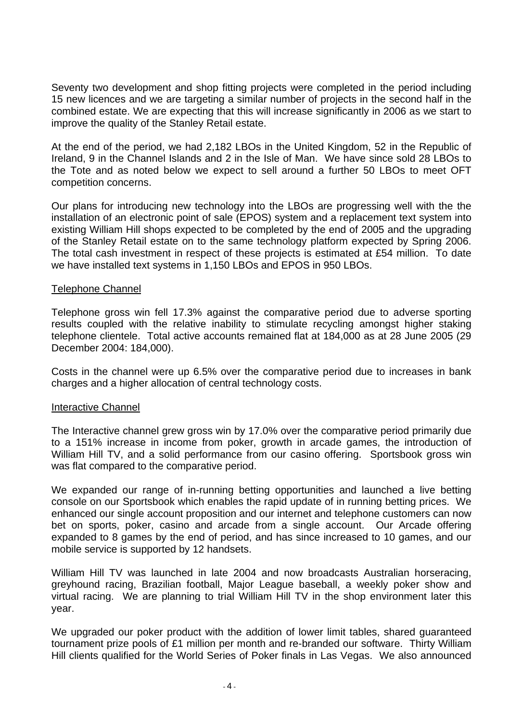Seventy two development and shop fitting projects were completed in the period including 15 new licences and we are targeting a similar number of projects in the second half in the combined estate. We are expecting that this will increase significantly in 2006 as we start to improve the quality of the Stanley Retail estate.

At the end of the period, we had 2,182 LBOs in the United Kingdom, 52 in the Republic of Ireland, 9 in the Channel Islands and 2 in the Isle of Man. We have since sold 28 LBOs to the Tote and as noted below we expect to sell around a further 50 LBOs to meet OFT competition concerns.

Our plans for introducing new technology into the LBOs are progressing well with the the installation of an electronic point of sale (EPOS) system and a replacement text system into existing William Hill shops expected to be completed by the end of 2005 and the upgrading of the Stanley Retail estate on to the same technology platform expected by Spring 2006. The total cash investment in respect of these projects is estimated at £54 million. To date we have installed text systems in 1,150 LBOs and EPOS in 950 LBOs.

### Telephone Channel

Telephone gross win fell 17.3% against the comparative period due to adverse sporting results coupled with the relative inability to stimulate recycling amongst higher staking telephone clientele. Total active accounts remained flat at 184,000 as at 28 June 2005 (29 December 2004: 184,000).

Costs in the channel were up 6.5% over the comparative period due to increases in bank charges and a higher allocation of central technology costs.

### Interactive Channel

The Interactive channel grew gross win by 17.0% over the comparative period primarily due to a 151% increase in income from poker, growth in arcade games, the introduction of William Hill TV, and a solid performance from our casino offering. Sportsbook gross win was flat compared to the comparative period.

We expanded our range of in-running betting opportunities and launched a live betting console on our Sportsbook which enables the rapid update of in running betting prices. We enhanced our single account proposition and our internet and telephone customers can now bet on sports, poker, casino and arcade from a single account. Our Arcade offering expanded to 8 games by the end of period, and has since increased to 10 games, and our mobile service is supported by 12 handsets.

William Hill TV was launched in late 2004 and now broadcasts Australian horseracing, greyhound racing, Brazilian football, Major League baseball, a weekly poker show and virtual racing. We are planning to trial William Hill TV in the shop environment later this year.

We upgraded our poker product with the addition of lower limit tables, shared guaranteed tournament prize pools of £1 million per month and re-branded our software. Thirty William Hill clients qualified for the World Series of Poker finals in Las Vegas. We also announced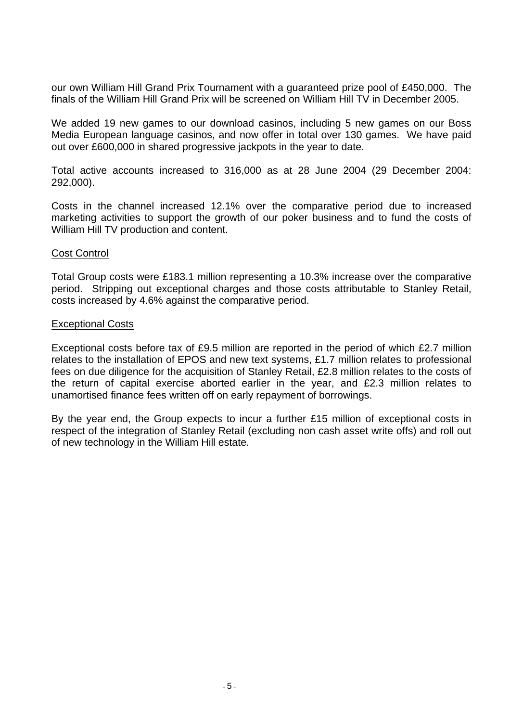our own William Hill Grand Prix Tournament with a guaranteed prize pool of £450,000. The finals of the William Hill Grand Prix will be screened on William Hill TV in December 2005.

We added 19 new games to our download casinos, including 5 new games on our Boss Media European language casinos, and now offer in total over 130 games. We have paid out over £600,000 in shared progressive jackpots in the year to date.

Total active accounts increased to 316,000 as at 28 June 2004 (29 December 2004: 292,000).

Costs in the channel increased 12.1% over the comparative period due to increased marketing activities to support the growth of our poker business and to fund the costs of William Hill TV production and content.

### Cost Control

Total Group costs were £183.1 million representing a 10.3% increase over the comparative period. Stripping out exceptional charges and those costs attributable to Stanley Retail, costs increased by 4.6% against the comparative period.

### Exceptional Costs

Exceptional costs before tax of £9.5 million are reported in the period of which £2.7 million relates to the installation of EPOS and new text systems, £1.7 million relates to professional fees on due diligence for the acquisition of Stanley Retail, £2.8 million relates to the costs of the return of capital exercise aborted earlier in the year, and £2.3 million relates to unamortised finance fees written off on early repayment of borrowings.

By the year end, the Group expects to incur a further £15 million of exceptional costs in respect of the integration of Stanley Retail (excluding non cash asset write offs) and roll out of new technology in the William Hill estate.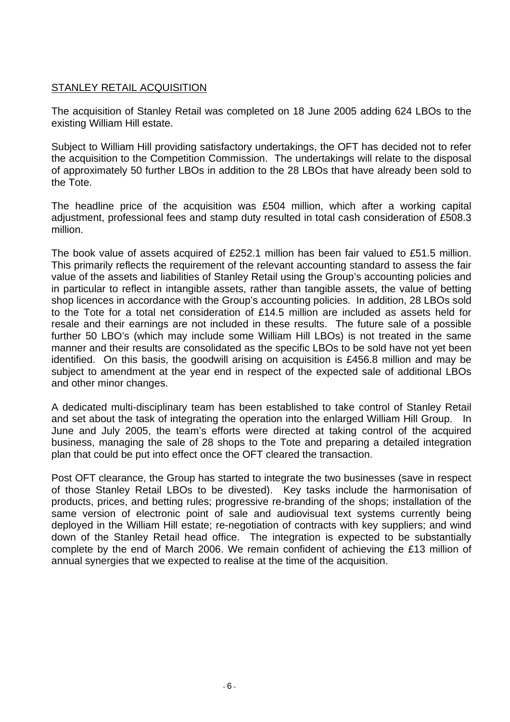# STANLEY RETAIL ACQUISITION

The acquisition of Stanley Retail was completed on 18 June 2005 adding 624 LBOs to the existing William Hill estate.

Subject to William Hill providing satisfactory undertakings, the OFT has decided not to refer the acquisition to the Competition Commission. The undertakings will relate to the disposal of approximately 50 further LBOs in addition to the 28 LBOs that have already been sold to the Tote.

The headline price of the acquisition was £504 million, which after a working capital adjustment, professional fees and stamp duty resulted in total cash consideration of £508.3 million.

The book value of assets acquired of £252.1 million has been fair valued to £51.5 million. This primarily reflects the requirement of the relevant accounting standard to assess the fair value of the assets and liabilities of Stanley Retail using the Group's accounting policies and in particular to reflect in intangible assets, rather than tangible assets, the value of betting shop licences in accordance with the Group's accounting policies. In addition, 28 LBOs sold to the Tote for a total net consideration of £14.5 million are included as assets held for resale and their earnings are not included in these results. The future sale of a possible further 50 LBO's (which may include some William Hill LBOs) is not treated in the same manner and their results are consolidated as the specific LBOs to be sold have not yet been identified. On this basis, the goodwill arising on acquisition is £456.8 million and may be subject to amendment at the year end in respect of the expected sale of additional LBOs and other minor changes.

A dedicated multi-disciplinary team has been established to take control of Stanley Retail and set about the task of integrating the operation into the enlarged William Hill Group. In June and July 2005, the team's efforts were directed at taking control of the acquired business, managing the sale of 28 shops to the Tote and preparing a detailed integration plan that could be put into effect once the OFT cleared the transaction.

Post OFT clearance, the Group has started to integrate the two businesses (save in respect of those Stanley Retail LBOs to be divested). Key tasks include the harmonisation of products, prices, and betting rules; progressive re-branding of the shops; installation of the same version of electronic point of sale and audiovisual text systems currently being deployed in the William Hill estate; re-negotiation of contracts with key suppliers; and wind down of the Stanley Retail head office. The integration is expected to be substantially complete by the end of March 2006. We remain confident of achieving the £13 million of annual synergies that we expected to realise at the time of the acquisition.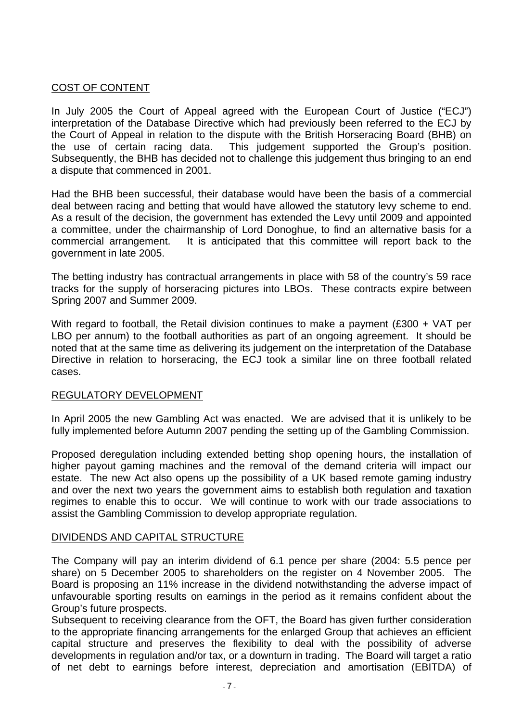## COST OF CONTENT

In July 2005 the Court of Appeal agreed with the European Court of Justice ("ECJ") interpretation of the Database Directive which had previously been referred to the ECJ by the Court of Appeal in relation to the dispute with the British Horseracing Board (BHB) on the use of certain racing data. This judgement supported the Group's position. Subsequently, the BHB has decided not to challenge this judgement thus bringing to an end a dispute that commenced in 2001.

Had the BHB been successful, their database would have been the basis of a commercial deal between racing and betting that would have allowed the statutory levy scheme to end. As a result of the decision, the government has extended the Levy until 2009 and appointed a committee, under the chairmanship of Lord Donoghue, to find an alternative basis for a commercial arrangement. It is anticipated that this committee will report back to the government in late 2005.

The betting industry has contractual arrangements in place with 58 of the country's 59 race tracks for the supply of horseracing pictures into LBOs. These contracts expire between Spring 2007 and Summer 2009.

With regard to football, the Retail division continues to make a payment (£300 + VAT per LBO per annum) to the football authorities as part of an ongoing agreement. It should be noted that at the same time as delivering its judgement on the interpretation of the Database Directive in relation to horseracing, the ECJ took a similar line on three football related cases.

### REGULATORY DEVELOPMENT

In April 2005 the new Gambling Act was enacted. We are advised that it is unlikely to be fully implemented before Autumn 2007 pending the setting up of the Gambling Commission.

Proposed deregulation including extended betting shop opening hours, the installation of higher payout gaming machines and the removal of the demand criteria will impact our estate. The new Act also opens up the possibility of a UK based remote gaming industry and over the next two years the government aims to establish both regulation and taxation regimes to enable this to occur. We will continue to work with our trade associations to assist the Gambling Commission to develop appropriate regulation.

### DIVIDENDS AND CAPITAL STRUCTURE

The Company will pay an interim dividend of 6.1 pence per share (2004: 5.5 pence per share) on 5 December 2005 to shareholders on the register on 4 November 2005. The Board is proposing an 11% increase in the dividend notwithstanding the adverse impact of unfavourable sporting results on earnings in the period as it remains confident about the Group's future prospects.

Subsequent to receiving clearance from the OFT, the Board has given further consideration to the appropriate financing arrangements for the enlarged Group that achieves an efficient capital structure and preserves the flexibility to deal with the possibility of adverse developments in regulation and/or tax, or a downturn in trading. The Board will target a ratio of net debt to earnings before interest, depreciation and amortisation (EBITDA) of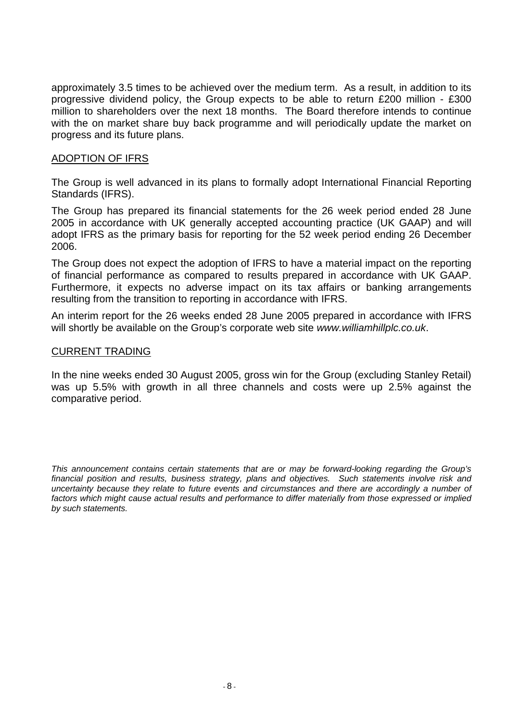approximately 3.5 times to be achieved over the medium term. As a result, in addition to its progressive dividend policy, the Group expects to be able to return £200 million - £300 million to shareholders over the next 18 months. The Board therefore intends to continue with the on market share buy back programme and will periodically update the market on progress and its future plans.

### ADOPTION OF IFRS

The Group is well advanced in its plans to formally adopt International Financial Reporting Standards (IFRS).

The Group has prepared its financial statements for the 26 week period ended 28 June 2005 in accordance with UK generally accepted accounting practice (UK GAAP) and will adopt IFRS as the primary basis for reporting for the 52 week period ending 26 December 2006.

The Group does not expect the adoption of IFRS to have a material impact on the reporting of financial performance as compared to results prepared in accordance with UK GAAP. Furthermore, it expects no adverse impact on its tax affairs or banking arrangements resulting from the transition to reporting in accordance with IFRS.

An interim report for the 26 weeks ended 28 June 2005 prepared in accordance with IFRS will shortly be available on the Group's corporate web site *www.williamhillplc.co.uk*.

### CURRENT TRADING

In the nine weeks ended 30 August 2005, gross win for the Group (excluding Stanley Retail) was up 5.5% with growth in all three channels and costs were up 2.5% against the comparative period.

*This announcement contains certain statements that are or may be forward-looking regarding the Group's financial position and results, business strategy, plans and objectives. Such statements involve risk and uncertainty because they relate to future events and circumstances and there are accordingly a number of factors which might cause actual results and performance to differ materially from those expressed or implied by such statements.*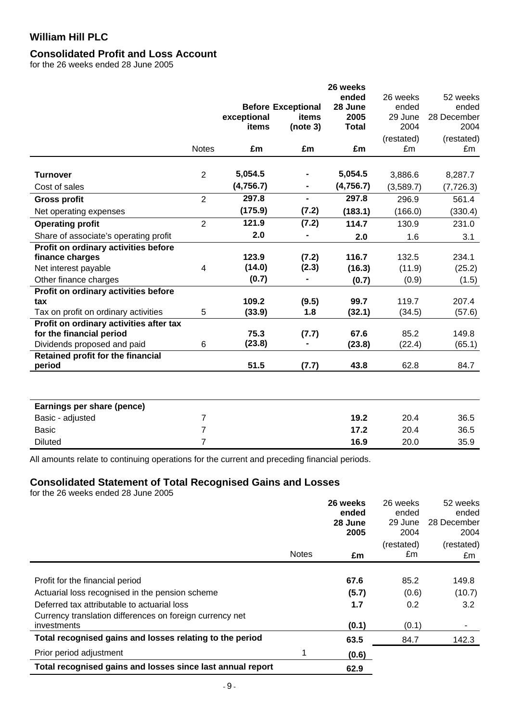# **Consolidated Profit and Loss Account**

for the 26 weeks ended 28 June 2005

|                                         |                |             |                           | 26 weeks     |            |             |
|-----------------------------------------|----------------|-------------|---------------------------|--------------|------------|-------------|
|                                         |                |             |                           | ended        | 26 weeks   | 52 weeks    |
|                                         |                |             | <b>Before Exceptional</b> | 28 June      | ended      | ended       |
|                                         |                | exceptional | items                     | 2005         | 29 June    | 28 December |
|                                         |                | items       | (note 3)                  | <b>Total</b> | 2004       | 2004        |
|                                         |                |             |                           |              | (restated) | (restated)  |
|                                         | <b>Notes</b>   | £m          | £m                        | £m           | £m         | £m          |
| <b>Turnover</b>                         | $\overline{2}$ | 5,054.5     |                           | 5,054.5      | 3,886.6    | 8,287.7     |
| Cost of sales                           |                | (4,756.7)   |                           | (4,756.7)    | (3,589.7)  | (7, 726.3)  |
|                                         | $\overline{2}$ | 297.8       | $\overline{\phantom{0}}$  | 297.8        |            |             |
| <b>Gross profit</b>                     |                |             |                           |              | 296.9      | 561.4       |
| Net operating expenses                  |                | (175.9)     | (7.2)                     | (183.1)      | (166.0)    | (330.4)     |
| <b>Operating profit</b>                 | $\overline{2}$ | 121.9       | (7.2)                     | 114.7        | 130.9      | 231.0       |
| Share of associate's operating profit   |                | 2.0         |                           | 2.0          | 1.6        | 3.1         |
| Profit on ordinary activities before    |                |             |                           |              |            |             |
| finance charges                         |                | 123.9       | (7.2)                     | 116.7        | 132.5      | 234.1       |
| Net interest payable                    | $\overline{4}$ | (14.0)      | (2.3)                     | (16.3)       | (11.9)     | (25.2)      |
| Other finance charges                   |                | (0.7)       | -                         | (0.7)        | (0.9)      | (1.5)       |
| Profit on ordinary activities before    |                |             |                           |              |            |             |
| tax                                     |                | 109.2       | (9.5)                     | 99.7         | 119.7      | 207.4       |
| Tax on profit on ordinary activities    | 5              | (33.9)      | 1.8                       | (32.1)       | (34.5)     | (57.6)      |
| Profit on ordinary activities after tax |                |             |                           |              |            |             |
| for the financial period                |                | 75.3        | (7.7)                     | 67.6         | 85.2       | 149.8       |
| Dividends proposed and paid             | 6              | (23.8)      |                           | (23.8)       | (22.4)     | (65.1)      |
| Retained profit for the financial       |                |             |                           |              |            |             |
| period                                  |                | 51.5        | (7.7)                     | 43.8         | 62.8       | 84.7        |
|                                         |                |             |                           |              |            |             |
| Earnings per share (pence)              |                |             |                           |              |            |             |
| Basic - adjusted                        | $\overline{7}$ |             |                           | 19.2         | 20.4       | 36.5        |
| <b>Basic</b>                            | $\overline{7}$ |             |                           | 17.2         | 20.4       | 36.5        |
| <b>Diluted</b>                          | $\overline{7}$ |             |                           | 16.9         | 20.0       | 35.9        |

All amounts relate to continuing operations for the current and preceding financial periods.

## **Consolidated Statement of Total Recognised Gains and Losses**

for the 26 weeks ended 28 June 2005

|                                                            |              | 26 weeks         | 26 weeks         | 52 weeks             |
|------------------------------------------------------------|--------------|------------------|------------------|----------------------|
|                                                            |              | ended<br>28 June | ended<br>29 June | ended<br>28 December |
|                                                            |              | 2005             | 2004             | 2004                 |
|                                                            |              |                  | (restated)       | (restated)           |
|                                                            | <b>Notes</b> | £m               | £m               | £m                   |
|                                                            |              |                  |                  |                      |
| Profit for the financial period                            |              | 67.6             | 85.2             | 149.8                |
| Actuarial loss recognised in the pension scheme            |              | (5.7)            | (0.6)            | (10.7)               |
| Deferred tax attributable to actuarial loss                |              | 1.7              | 0.2              | 3.2                  |
| Currency translation differences on foreign currency net   |              |                  |                  |                      |
| investments                                                |              | (0.1)            | (0.1)            |                      |
| Total recognised gains and losses relating to the period   |              | 63.5             | 84.7             | 142.3                |
| Prior period adjustment                                    |              | (0.6)            |                  |                      |
| Total recognised gains and losses since last annual report |              | 62.9             |                  |                      |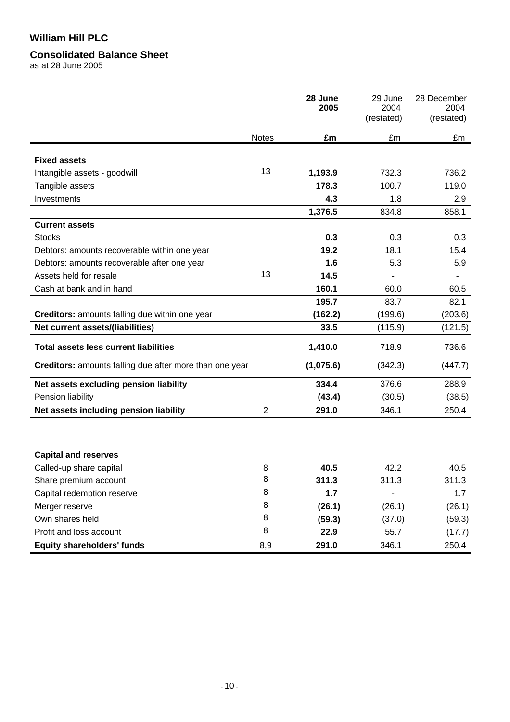### **Consolidated Balance Sheet**

as at 28 June 2005

|                                                         |                | 28 June<br>2005 | 29 June<br>2004<br>(restated) | 28 December<br>2004<br>(restated) |
|---------------------------------------------------------|----------------|-----------------|-------------------------------|-----------------------------------|
|                                                         | <b>Notes</b>   | £m              | £m                            | £m                                |
| <b>Fixed assets</b>                                     |                |                 |                               |                                   |
| Intangible assets - goodwill                            | 13             | 1,193.9         | 732.3                         | 736.2                             |
| Tangible assets                                         |                | 178.3           | 100.7                         | 119.0                             |
| Investments                                             |                | 4.3             | 1.8                           | 2.9                               |
|                                                         |                | 1,376.5         | 834.8                         | 858.1                             |
| <b>Current assets</b>                                   |                |                 |                               |                                   |
| <b>Stocks</b>                                           |                | 0.3             | 0.3                           | 0.3                               |
| Debtors: amounts recoverable within one year            |                | 19.2            | 18.1                          | 15.4                              |
| Debtors: amounts recoverable after one year             |                | 1.6             | 5.3                           | 5.9                               |
| Assets held for resale                                  | 13             | 14.5            |                               |                                   |
| Cash at bank and in hand                                |                | 160.1           | 60.0                          | 60.5                              |
|                                                         |                | 195.7           | 83.7                          | 82.1                              |
| Creditors: amounts falling due within one year          |                | (162.2)         | (199.6)                       | (203.6)                           |
| <b>Net current assets/(liabilities)</b>                 |                | 33.5            | (115.9)                       | (121.5)                           |
| <b>Total assets less current liabilities</b>            |                | 1,410.0         | 718.9                         | 736.6                             |
| Creditors: amounts falling due after more than one year |                | (1,075.6)       | (342.3)                       | (447.7)                           |
| Net assets excluding pension liability                  |                | 334.4           | 376.6                         | 288.9                             |
| Pension liability                                       |                | (43.4)          | (30.5)                        | (38.5)                            |
| Net assets including pension liability                  | $\overline{2}$ | 291.0           | 346.1                         | 250.4                             |
|                                                         |                |                 |                               |                                   |
| <b>Capital and reserves</b>                             |                |                 |                               |                                   |
| Called-up share capital                                 | 8              | 40.5            | 42.2                          | 40.5                              |
| Share premium account                                   | 8              | 311.3           | 311.3                         | 311.3                             |
| Capital redemption reserve                              | 8              | 1.7             |                               | 1.7                               |
| Merger reserve                                          | 8              | (26.1)          | (26.1)                        | (26.1)                            |
| Own shares held                                         | 8              | (59.3)          | (37.0)                        | (59.3)                            |
| Profit and loss account                                 | 8              | 22.9            | 55.7                          | (17.7)                            |
| <b>Equity shareholders' funds</b>                       | 8,9            | 291.0           | 346.1                         | 250.4                             |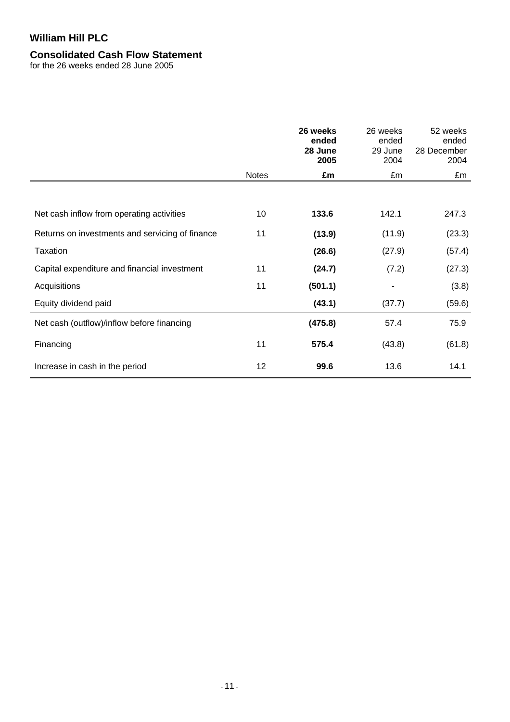# **Consolidated Cash Flow Statement**

for the 26 weeks ended 28 June 2005

|                                                 |              | 26 weeks<br>ended<br>28 June<br>2005 | 26 weeks<br>ended<br>29 June<br>2004 | 52 weeks<br>ended<br>28 December<br>2004 |
|-------------------------------------------------|--------------|--------------------------------------|--------------------------------------|------------------------------------------|
|                                                 | <b>Notes</b> | £m                                   | £m                                   | £m                                       |
|                                                 |              |                                      |                                      |                                          |
| Net cash inflow from operating activities       | 10           | 133.6                                | 142.1                                | 247.3                                    |
| Returns on investments and servicing of finance | 11           | (13.9)                               | (11.9)                               | (23.3)                                   |
| Taxation                                        |              | (26.6)                               | (27.9)                               | (57.4)                                   |
| Capital expenditure and financial investment    | 11           | (24.7)                               | (7.2)                                | (27.3)                                   |
| Acquisitions                                    | 11           | (501.1)                              |                                      | (3.8)                                    |
| Equity dividend paid                            |              | (43.1)                               | (37.7)                               | (59.6)                                   |
| Net cash (outflow)/inflow before financing      |              | (475.8)                              | 57.4                                 | 75.9                                     |
| Financing                                       | 11           | 575.4                                | (43.8)                               | (61.8)                                   |
| Increase in cash in the period                  | 12           | 99.6                                 | 13.6                                 | 14.1                                     |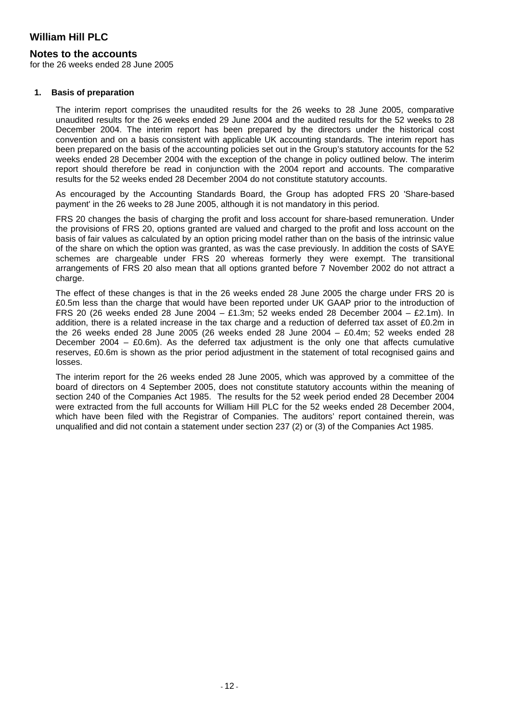### **Notes to the accounts**

for the 26 weeks ended 28 June 2005

#### **1. Basis of preparation**

The interim report comprises the unaudited results for the 26 weeks to 28 June 2005, comparative unaudited results for the 26 weeks ended 29 June 2004 and the audited results for the 52 weeks to 28 December 2004. The interim report has been prepared by the directors under the historical cost convention and on a basis consistent with applicable UK accounting standards. The interim report has been prepared on the basis of the accounting policies set out in the Group's statutory accounts for the 52 weeks ended 28 December 2004 with the exception of the change in policy outlined below. The interim report should therefore be read in conjunction with the 2004 report and accounts. The comparative results for the 52 weeks ended 28 December 2004 do not constitute statutory accounts.

As encouraged by the Accounting Standards Board, the Group has adopted FRS 20 'Share-based payment' in the 26 weeks to 28 June 2005, although it is not mandatory in this period.

FRS 20 changes the basis of charging the profit and loss account for share-based remuneration. Under the provisions of FRS 20, options granted are valued and charged to the profit and loss account on the basis of fair values as calculated by an option pricing model rather than on the basis of the intrinsic value of the share on which the option was granted, as was the case previously. In addition the costs of SAYE schemes are chargeable under FRS 20 whereas formerly they were exempt. The transitional arrangements of FRS 20 also mean that all options granted before 7 November 2002 do not attract a charge.

The effect of these changes is that in the 26 weeks ended 28 June 2005 the charge under FRS 20 is £0.5m less than the charge that would have been reported under UK GAAP prior to the introduction of FRS 20 (26 weeks ended 28 June 2004 – £1.3m; 52 weeks ended 28 December 2004 – £2.1m). In addition, there is a related increase in the tax charge and a reduction of deferred tax asset of £0.2m in the 26 weeks ended 28 June 2005 (26 weeks ended 28 June 2004 – £0.4m; 52 weeks ended 28 December 2004 –  $E(0.6m)$ . As the deferred tax adjustment is the only one that affects cumulative reserves, £0.6m is shown as the prior period adjustment in the statement of total recognised gains and losses.

The interim report for the 26 weeks ended 28 June 2005, which was approved by a committee of the board of directors on 4 September 2005, does not constitute statutory accounts within the meaning of section 240 of the Companies Act 1985. The results for the 52 week period ended 28 December 2004 were extracted from the full accounts for William Hill PLC for the 52 weeks ended 28 December 2004, which have been filed with the Registrar of Companies. The auditors' report contained therein, was unqualified and did not contain a statement under section 237 (2) or (3) of the Companies Act 1985.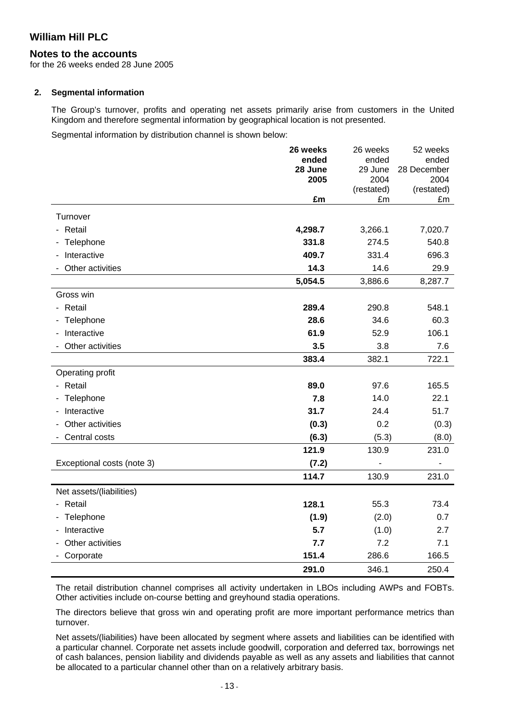### **Notes to the accounts**

for the 26 weeks ended 28 June 2005

#### **2. Segmental information**

The Group's turnover, profits and operating net assets primarily arise from customers in the United Kingdom and therefore segmental information by geographical location is not presented.

Segmental information by distribution channel is shown below:

|                            | 26 weeks | 26 weeks           | 52 weeks           |
|----------------------------|----------|--------------------|--------------------|
|                            | ended    | ended              | ended              |
|                            | 28 June  | 29 June            | 28 December        |
|                            | 2005     | 2004<br>(restated) | 2004<br>(restated) |
|                            | £m       | £m                 | £m                 |
| Turnover                   |          |                    |                    |
| - Retail                   | 4,298.7  | 3,266.1            | 7,020.7            |
| Telephone                  | 331.8    | 274.5              | 540.8              |
| Interactive                | 409.7    | 331.4              | 696.3              |
| Other activities           | 14.3     | 14.6               | 29.9               |
|                            | 5,054.5  | 3,886.6            | 8,287.7            |
| Gross win                  |          |                    |                    |
| - Retail                   | 289.4    | 290.8              | 548.1              |
| - Telephone                | 28.6     | 34.6               | 60.3               |
| Interactive                | 61.9     | 52.9               | 106.1              |
| Other activities           | 3.5      | 3.8                | 7.6                |
|                            | 383.4    | 382.1              | 722.1              |
| Operating profit           |          |                    |                    |
| - Retail                   | 89.0     | 97.6               | 165.5              |
| Telephone                  | 7.8      | 14.0               | 22.1               |
| Interactive                | 31.7     | 24.4               | 51.7               |
| Other activities           | (0.3)    | 0.2                | (0.3)              |
| Central costs              | (6.3)    | (5.3)              | (8.0)              |
|                            | 121.9    | 130.9              | 231.0              |
| Exceptional costs (note 3) | (7.2)    |                    |                    |
|                            | 114.7    | 130.9              | 231.0              |
| Net assets/(liabilities)   |          |                    |                    |
| - Retail                   | 128.1    | 55.3               | 73.4               |
| Telephone                  | (1.9)    | (2.0)              | 0.7                |
| Interactive                | 5.7      | (1.0)              | 2.7                |
| Other activities           | 7.7      | 7.2                | 7.1                |
| Corporate                  | 151.4    | 286.6              | 166.5              |
|                            | 291.0    | 346.1              | 250.4              |

The retail distribution channel comprises all activity undertaken in LBOs including AWPs and FOBTs. Other activities include on-course betting and greyhound stadia operations.

The directors believe that gross win and operating profit are more important performance metrics than turnover.

Net assets/(liabilities) have been allocated by segment where assets and liabilities can be identified with a particular channel. Corporate net assets include goodwill, corporation and deferred tax, borrowings net of cash balances, pension liability and dividends payable as well as any assets and liabilities that cannot be allocated to a particular channel other than on a relatively arbitrary basis.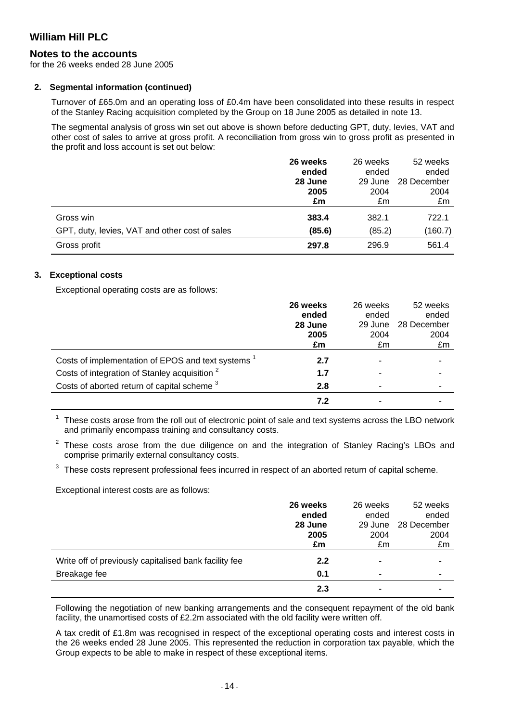### **Notes to the accounts**

for the 26 weeks ended 28 June 2005

#### **2. Segmental information (continued)**

Turnover of £65.0m and an operating loss of £0.4m have been consolidated into these results in respect of the Stanley Racing acquisition completed by the Group on 18 June 2005 as detailed in note 13.

The segmental analysis of gross win set out above is shown before deducting GPT, duty, levies, VAT and other cost of sales to arrive at gross profit. A reconciliation from gross win to gross profit as presented in the profit and loss account is set out below:

|                                                | 26 weeks | 26 weeks | 52 weeks    |
|------------------------------------------------|----------|----------|-------------|
|                                                | ended    | ended    | ended       |
|                                                | 28 June  | 29 June  | 28 December |
|                                                | 2005     | 2004     | 2004        |
|                                                | £m       | £m       | £m          |
| Gross win                                      | 383.4    | 382.1    | 722.1       |
| GPT, duty, levies, VAT and other cost of sales | (85.6)   | (85.2)   | (160.7)     |
| Gross profit                                   | 297.8    | 296.9    | 561.4       |

#### **3. Exceptional costs**

Exceptional operating costs are as follows:

|                                                          | 26 weeks | 26 weeks | 52 weeks    |
|----------------------------------------------------------|----------|----------|-------------|
|                                                          | ended    | ended    | ended       |
|                                                          | 28 June  | 29 June  | 28 December |
|                                                          | 2005     | 2004     | 2004        |
|                                                          | £m       | £m       | £m          |
| Costs of implementation of EPOS and text systems         | 2.7      |          |             |
| Costs of integration of Stanley acquisition <sup>2</sup> | 1.7      |          |             |
| Costs of aborted return of capital scheme <sup>3</sup>   | 2.8      |          |             |
|                                                          | 7.2      |          |             |

 $1$  These costs arose from the roll out of electronic point of sale and text systems across the LBO network and primarily encompass training and consultancy costs.

 $2$  These costs arose from the due diligence on and the integration of Stanley Racing's LBOs and comprise primarily external consultancy costs.

 $3$  These costs represent professional fees incurred in respect of an aborted return of capital scheme.

Exceptional interest costs are as follows:

|                                                       | 26 weeks<br>ended<br>28 June<br>2005<br>£m | 26 weeks<br>ended<br>29 June<br>2004<br>£m | 52 weeks<br>ended<br>28 December<br>2004<br>£m |
|-------------------------------------------------------|--------------------------------------------|--------------------------------------------|------------------------------------------------|
| Write off of previously capitalised bank facility fee | 2.2                                        |                                            |                                                |
| Breakage fee                                          | 0.1                                        | -                                          |                                                |
|                                                       | 2.3                                        |                                            |                                                |

Following the negotiation of new banking arrangements and the consequent repayment of the old bank facility, the unamortised costs of £2.2m associated with the old facility were written off.

A tax credit of £1.8m was recognised in respect of the exceptional operating costs and interest costs in the 26 weeks ended 28 June 2005. This represented the reduction in corporation tax payable, which the Group expects to be able to make in respect of these exceptional items.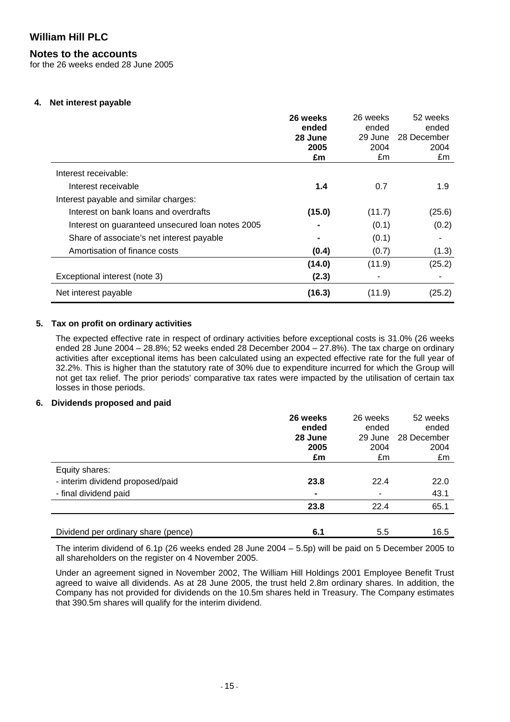### **Notes to the accounts**

for the 26 weeks ended 28 June 2005

#### **4. Net interest payable**

|                                                  | 26 weeks<br>ended<br>28 June<br>2005 | 26 weeks<br>ended<br>29 June<br>2004 | 52 weeks<br>ended<br>28 December<br>2004 |
|--------------------------------------------------|--------------------------------------|--------------------------------------|------------------------------------------|
|                                                  | £m                                   | £m                                   | £m                                       |
| Interest receivable:                             |                                      |                                      |                                          |
| Interest receivable                              | 1.4                                  | 0.7                                  | 1.9                                      |
| Interest payable and similar charges:            |                                      |                                      |                                          |
| Interest on bank loans and overdrafts            | (15.0)                               | (11.7)                               | (25.6)                                   |
| Interest on guaranteed unsecured loan notes 2005 |                                      | (0.1)                                | (0.2)                                    |
| Share of associate's net interest payable        |                                      | (0.1)                                |                                          |
| Amortisation of finance costs                    | (0.4)                                | (0.7)                                | (1.3)                                    |
|                                                  | (14.0)                               | (11.9)                               | (25.2)                                   |
| Exceptional interest (note 3)                    | (2.3)                                |                                      |                                          |
| Net interest payable                             | (16.3)                               | (11.9)                               | (25.2)                                   |

### **5. Tax on profit on ordinary activities**

The expected effective rate in respect of ordinary activities before exceptional costs is 31.0% (26 weeks ended 28 June 2004 – 28.8%; 52 weeks ended 28 December 2004 – 27.8%). The tax charge on ordinary activities after exceptional items has been calculated using an expected effective rate for the full year of 32.2%. This is higher than the statutory rate of 30% due to expenditure incurred for which the Group will not get tax relief. The prior periods' comparative tax rates were impacted by the utilisation of certain tax losses in those periods.

#### **6. Dividends proposed and paid**

|                                     | 26 weeks<br>ended | 26 weeks<br>ended | 52 weeks<br>ended |
|-------------------------------------|-------------------|-------------------|-------------------|
|                                     | 28 June           | 29 June           | 28 December       |
|                                     | 2005              | 2004              | 2004              |
|                                     | £m                | £m                | £m                |
| Equity shares:                      |                   |                   |                   |
| - interim dividend proposed/paid    | 23.8              | 22.4              | 22.0              |
| - final dividend paid               |                   |                   | 43.1              |
|                                     | 23.8              | 22.4              | 65.1              |
|                                     |                   |                   |                   |
| Dividend per ordinary share (pence) | 6.1               | 5.5               | 16.5              |

The interim dividend of 6.1p (26 weeks ended 28 June 2004 – 5.5p) will be paid on 5 December 2005 to all shareholders on the register on 4 November 2005.

Under an agreement signed in November 2002, The William Hill Holdings 2001 Employee Benefit Trust agreed to waive all dividends. As at 28 June 2005, the trust held 2.8m ordinary shares. In addition, the Company has not provided for dividends on the 10.5m shares held in Treasury. The Company estimates that 390.5m shares will qualify for the interim dividend.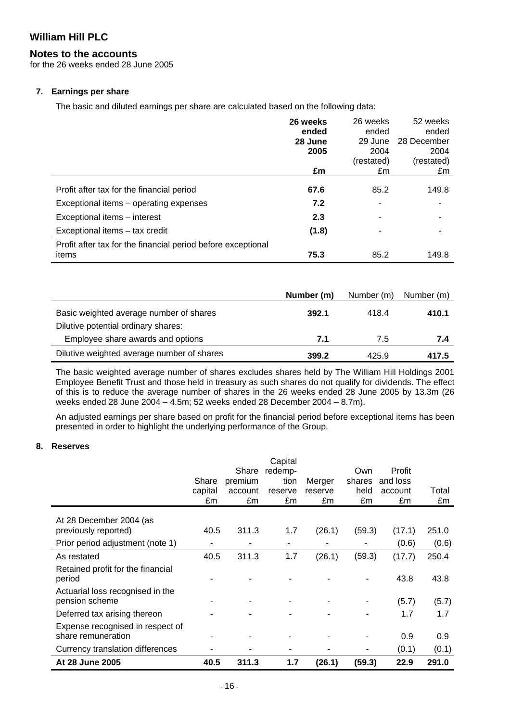### **Notes to the accounts**

for the 26 weeks ended 28 June 2005

#### **7. Earnings per share**

The basic and diluted earnings per share are calculated based on the following data:

|                                                              | 26 weeks | 26 weeks   | 52 weeks    |
|--------------------------------------------------------------|----------|------------|-------------|
|                                                              | ended    | ended      | ended       |
|                                                              | 28 June  | 29 June    | 28 December |
|                                                              | 2005     | 2004       | 2004        |
|                                                              |          | (restated) | (restated)  |
|                                                              | £m       | £m         | £m          |
|                                                              |          |            |             |
| Profit after tax for the financial period                    | 67.6     | 85.2       | 149.8       |
| Exceptional items – operating expenses                       | 7.2      |            |             |
| Exceptional items - interest                                 | 2.3      |            |             |
| Exceptional items - tax credit                               | (1.8)    |            |             |
| Profit after tax for the financial period before exceptional |          |            |             |
| items                                                        | 75.3     | 85.2       | 149.8       |

|                                                                                | Number (m) | Number (m) | Number (m) |
|--------------------------------------------------------------------------------|------------|------------|------------|
| Basic weighted average number of shares<br>Dilutive potential ordinary shares: | 392.1      | 418.4      | 410.1      |
| Employee share awards and options                                              | 7.1        | 7.5        | 7.4        |
| Dilutive weighted average number of shares                                     | 399.2      | 425.9      | 417.5      |

The basic weighted average number of shares excludes shares held by The William Hill Holdings 2001 Employee Benefit Trust and those held in treasury as such shares do not qualify for dividends. The effect of this is to reduce the average number of shares in the 26 weeks ended 28 June 2005 by 13.3m (26 weeks ended 28 June 2004 – 4.5m; 52 weeks ended 28 December 2004 – 8.7m).

An adjusted earnings per share based on profit for the financial period before exceptional items has been presented in order to highlight the underlying performance of the Group.

### **8. Reserves**

|                                                        | Share         | Share<br>premium | Capital<br>redemp-<br>tion | Merger        | Own<br>shares | Profit<br>and loss |             |
|--------------------------------------------------------|---------------|------------------|----------------------------|---------------|---------------|--------------------|-------------|
|                                                        | capital<br>£m | account<br>£m    | reserve<br>£m              | reserve<br>£m | held<br>£m    | account<br>£m      | Total<br>£m |
| At 28 December 2004 (as                                |               |                  |                            |               |               |                    |             |
| previously reported)                                   | 40.5          | 311.3            | 1.7                        | (26.1)        | (59.3)        | (17.1)             | 251.0       |
| Prior period adjustment (note 1)                       |               |                  |                            |               |               | (0.6)              | (0.6)       |
| As restated                                            | 40.5          | 311.3            | 1.7                        | (26.1)        | (59.3)        | (17.7)             | 250.4       |
| Retained profit for the financial<br>period            |               |                  |                            |               |               | 43.8               | 43.8        |
| Actuarial loss recognised in the<br>pension scheme     |               |                  |                            |               |               | (5.7)              | (5.7)       |
| Deferred tax arising thereon                           |               |                  |                            |               |               | 1.7                | 1.7         |
| Expense recognised in respect of<br>share remuneration |               |                  |                            |               |               | 0.9                | 0.9         |
| Currency translation differences                       |               |                  | ۰                          |               |               | (0.1)              | (0.1)       |
| At 28 June 2005                                        | 40.5          | 311.3            | 1.7                        | (26.1)        | (59.3)        | 22.9               | 291.0       |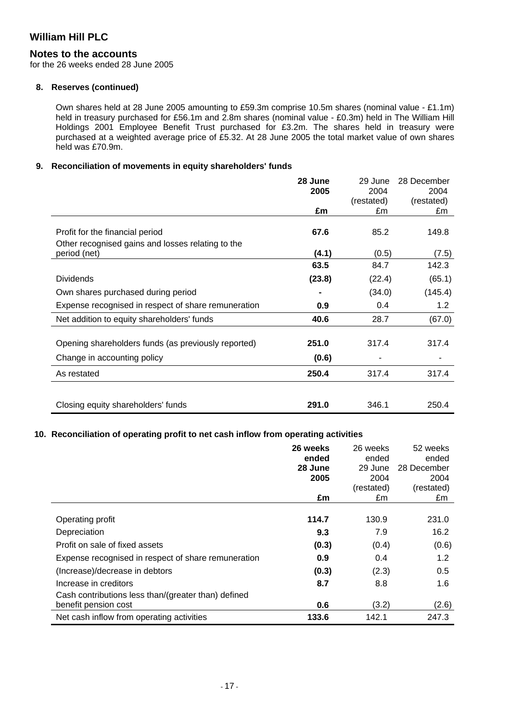### **Notes to the accounts**

for the 26 weeks ended 28 June 2005

#### **8. Reserves (continued)**

Own shares held at 28 June 2005 amounting to £59.3m comprise 10.5m shares (nominal value - £1.1m) held in treasury purchased for £56.1m and 2.8m shares (nominal value - £0.3m) held in The William Hill Holdings 2001 Employee Benefit Trust purchased for £3.2m. The shares held in treasury were purchased at a weighted average price of £5.32. At 28 June 2005 the total market value of own shares held was £70.9m.

#### **9. Reconciliation of movements in equity shareholders' funds**

|                                                                                      | 28 June | 29 June            | 28 December        |
|--------------------------------------------------------------------------------------|---------|--------------------|--------------------|
|                                                                                      | 2005    | 2004<br>(restated) | 2004<br>(restated) |
|                                                                                      | £m      | £m                 | £m                 |
| Profit for the financial period<br>Other recognised gains and losses relating to the | 67.6    | 85.2               | 149.8              |
| period (net)                                                                         | (4.1)   | (0.5)              | (7.5)              |
|                                                                                      | 63.5    | 84.7               | 142.3              |
| <b>Dividends</b>                                                                     | (23.8)  | (22.4)             | (65.1)             |
| Own shares purchased during period                                                   |         | (34.0)             | (145.4)            |
| Expense recognised in respect of share remuneration                                  | 0.9     | 0.4                | 1.2                |
| Net addition to equity shareholders' funds                                           | 40.6    | 28.7               | (67.0)             |
| Opening shareholders funds (as previously reported)                                  | 251.0   | 317.4              | 317.4              |
| Change in accounting policy                                                          | (0.6)   |                    |                    |
| As restated                                                                          | 250.4   | 317.4              | 317.4              |
|                                                                                      |         |                    |                    |
| Closing equity shareholders' funds                                                   | 291.0   | 346.1              | 250.4              |

#### **10. Reconciliation of operating profit to net cash inflow from operating activities**

|                                                     | 26 weeks<br>ended<br>28 June | 26 weeks<br>ended<br>29 June | 52 weeks<br>ended<br>28 December |
|-----------------------------------------------------|------------------------------|------------------------------|----------------------------------|
|                                                     | 2005                         | 2004                         | 2004                             |
|                                                     |                              | (restated)                   | (restated)                       |
|                                                     | £m                           | £m                           | £m                               |
| Operating profit                                    | 114.7                        | 130.9                        | 231.0                            |
| Depreciation                                        | 9.3                          | 7.9                          | 16.2                             |
| Profit on sale of fixed assets                      | (0.3)                        | (0.4)                        | (0.6)                            |
| Expense recognised in respect of share remuneration | 0.9                          | 0.4                          | 1.2                              |
| (Increase)/decrease in debtors                      | (0.3)                        | (2.3)                        | 0.5                              |
| Increase in creditors                               | 8.7                          | 8.8                          | 1.6                              |
| Cash contributions less than/(greater than) defined |                              |                              |                                  |
| benefit pension cost                                | 0.6                          | (3.2)                        | (2.6)                            |
| Net cash inflow from operating activities           | 133.6                        | 142.1                        | 247.3                            |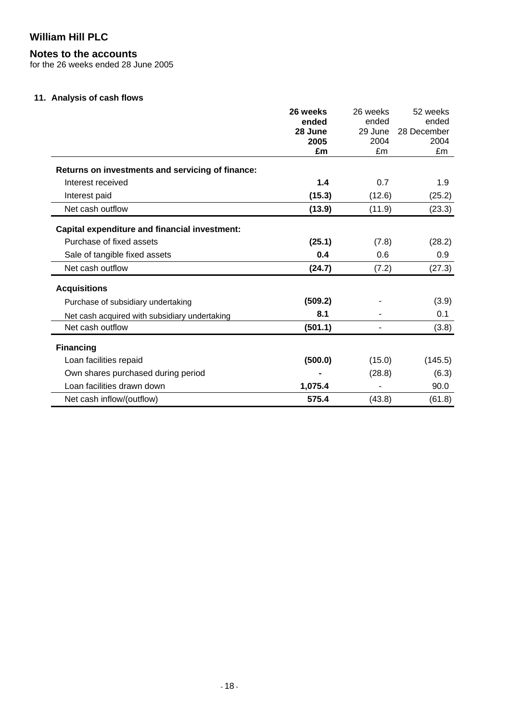# **Notes to the accounts**

for the 26 weeks ended 28 June 2005

### **11. Analysis of cash flows**

|                                                      | 26 weeks | 26 weeks | 52 weeks    |
|------------------------------------------------------|----------|----------|-------------|
|                                                      | ended    | ended    | ended       |
|                                                      | 28 June  | 29 June  | 28 December |
|                                                      | 2005     | 2004     | 2004        |
|                                                      | £m       | £m       | £m          |
| Returns on investments and servicing of finance:     |          |          |             |
| Interest received                                    | 1.4      | 0.7      | 1.9         |
| Interest paid                                        | (15.3)   | (12.6)   | (25.2)      |
| Net cash outflow                                     | (13.9)   | (11.9)   | (23.3)      |
| <b>Capital expenditure and financial investment:</b> |          |          |             |
| Purchase of fixed assets                             | (25.1)   | (7.8)    | (28.2)      |
| Sale of tangible fixed assets                        | 0.4      | 0.6      | 0.9         |
| Net cash outflow                                     | (24.7)   | (7.2)    | (27.3)      |
| <b>Acquisitions</b>                                  |          |          |             |
| Purchase of subsidiary undertaking                   | (509.2)  |          | (3.9)       |
| Net cash acquired with subsidiary undertaking        | 8.1      |          | 0.1         |
| Net cash outflow                                     | (501.1)  |          | (3.8)       |
| <b>Financing</b>                                     |          |          |             |
| Loan facilities repaid                               | (500.0)  | (15.0)   | (145.5)     |
| Own shares purchased during period                   |          | (28.8)   | (6.3)       |
| Loan facilities drawn down                           | 1,075.4  |          | 90.0        |
| Net cash inflow/(outflow)                            | 575.4    | (43.8)   | (61.8)      |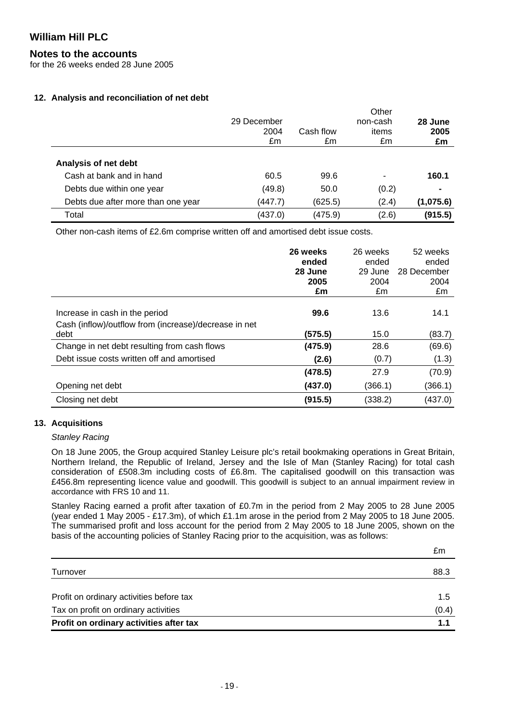### **Notes to the accounts**

for the 26 weeks ended 28 June 2005

#### **12. Analysis and reconciliation of net debt**

|                                    | 29 December<br>2004<br>£m | Cash flow<br>£m | Other<br>non-cash<br>items<br>£m | 28 June<br>2005<br>£m |
|------------------------------------|---------------------------|-----------------|----------------------------------|-----------------------|
| Analysis of net debt               |                           |                 |                                  |                       |
| Cash at bank and in hand           | 60.5                      | 99.6            |                                  | 160.1                 |
| Debts due within one year          | (49.8)                    | 50.0            | (0.2)                            | $\blacksquare$        |
| Debts due after more than one year | (447.7)                   | (625.5)         | (2.4)                            | (1,075.6)             |
| Total                              | (437.0)                   | (475.9)         | (2.6)                            | (915.5)               |

Other non-cash items of £2.6m comprise written off and amortised debt issue costs.

|                                                                                         | 26 weeks | 26 weeks | 52 weeks    |
|-----------------------------------------------------------------------------------------|----------|----------|-------------|
|                                                                                         | ended    | ended    | ended       |
|                                                                                         | 28 June  | 29 June  | 28 December |
|                                                                                         | 2005     | 2004     | 2004        |
|                                                                                         | £m       | £m       | £m          |
| Increase in cash in the period<br>Cash (inflow)/outflow from (increase)/decrease in net | 99.6     | 13.6     | 14.1        |
| debt                                                                                    | (575.5)  | 15.0     | (83.7)      |
| Change in net debt resulting from cash flows                                            | (475.9)  | 28.6     | (69.6)      |
| Debt issue costs written off and amortised                                              | (2.6)    | (0.7)    | (1.3)       |
|                                                                                         | (478.5)  | 27.9     | (70.9)      |
| Opening net debt                                                                        | (437.0)  | (366.1)  | (366.1)     |
| Closing net debt                                                                        | (915.5)  | (338.2)  | (437.0)     |

#### **13. Acquisitions**

#### *Stanley Racing*

On 18 June 2005, the Group acquired Stanley Leisure plc's retail bookmaking operations in Great Britain, Northern Ireland, the Republic of Ireland, Jersey and the Isle of Man (Stanley Racing) for total cash consideration of £508.3m including costs of £6.8m. The capitalised goodwill on this transaction was £456.8m representing licence value and goodwill. This goodwill is subject to an annual impairment review in accordance with FRS 10 and 11.

Stanley Racing earned a profit after taxation of £0.7m in the period from 2 May 2005 to 28 June 2005 (year ended 1 May 2005 - £17.3m), of which £1.1m arose in the period from 2 May 2005 to 18 June 2005. The summarised profit and loss account for the period from 2 May 2005 to 18 June 2005, shown on the basis of the accounting policies of Stanley Racing prior to the acquisition, was as follows:

|                                          | £m    |
|------------------------------------------|-------|
| Turnover                                 | 88.3  |
| Profit on ordinary activities before tax | 1.5   |
| Tax on profit on ordinary activities     | (0.4) |
| Profit on ordinary activities after tax  | 1.1   |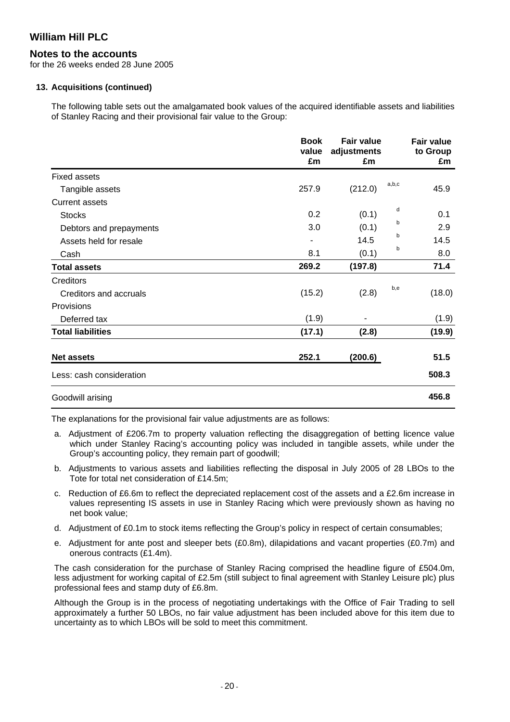### **Notes to the accounts**

for the 26 weeks ended 28 June 2005

#### **13. Acquisitions (continued)**

The following table sets out the amalgamated book values of the acquired identifiable assets and liabilities of Stanley Racing and their provisional fair value to the Group:

|                          | <b>Book</b><br>value<br>£m | <b>Fair value</b><br>adjustments<br>£m |       | <b>Fair value</b><br>to Group<br>£m |
|--------------------------|----------------------------|----------------------------------------|-------|-------------------------------------|
| <b>Fixed assets</b>      |                            |                                        |       |                                     |
| Tangible assets          | 257.9                      | (212.0)                                | a,b,c | 45.9                                |
| <b>Current assets</b>    |                            |                                        |       |                                     |
| <b>Stocks</b>            | 0.2                        | (0.1)                                  | d     | 0.1                                 |
| Debtors and prepayments  | 3.0                        | (0.1)                                  | b     | 2.9                                 |
| Assets held for resale   | ۰                          | 14.5                                   | b     | 14.5                                |
| Cash                     | 8.1                        | (0.1)                                  | b     | 8.0                                 |
| <b>Total assets</b>      | 269.2                      | (197.8)                                |       | 71.4                                |
| Creditors                |                            |                                        |       |                                     |
| Creditors and accruals   | (15.2)                     | (2.8)                                  | b,e   | (18.0)                              |
| Provisions               |                            |                                        |       |                                     |
| Deferred tax             | (1.9)                      |                                        |       | (1.9)                               |
| <b>Total liabilities</b> | (17.1)                     | (2.8)                                  |       | (19.9)                              |
| <b>Net assets</b>        | 252.1                      | (200.6)                                |       | 51.5                                |
| Less: cash consideration |                            |                                        |       | 508.3                               |
| Goodwill arising         |                            |                                        |       | 456.8                               |

The explanations for the provisional fair value adjustments are as follows:

- a. Adjustment of £206.7m to property valuation reflecting the disaggregation of betting licence value which under Stanley Racing's accounting policy was included in tangible assets, while under the Group's accounting policy, they remain part of goodwill;
- b. Adjustments to various assets and liabilities reflecting the disposal in July 2005 of 28 LBOs to the Tote for total net consideration of £14.5m;
- c. Reduction of £6.6m to reflect the depreciated replacement cost of the assets and a £2.6m increase in values representing IS assets in use in Stanley Racing which were previously shown as having no net book value;
- d. Adjustment of £0.1m to stock items reflecting the Group's policy in respect of certain consumables;
- e. Adjustment for ante post and sleeper bets (£0.8m), dilapidations and vacant properties (£0.7m) and onerous contracts (£1.4m).

The cash consideration for the purchase of Stanley Racing comprised the headline figure of £504.0m, less adjustment for working capital of £2.5m (still subject to final agreement with Stanley Leisure plc) plus professional fees and stamp duty of £6.8m.

Although the Group is in the process of negotiating undertakings with the Office of Fair Trading to sell approximately a further 50 LBOs, no fair value adjustment has been included above for this item due to uncertainty as to which LBOs will be sold to meet this commitment.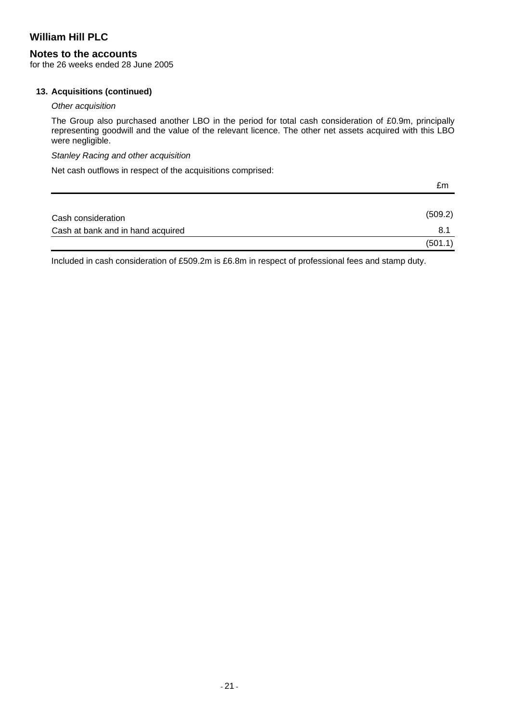### **Notes to the accounts**

for the 26 weeks ended 28 June 2005

#### **13. Acquisitions (continued)**

#### *Other acquisition*

The Group also purchased another LBO in the period for total cash consideration of £0.9m, principally representing goodwill and the value of the relevant licence. The other net assets acquired with this LBO were negligible.

### *Stanley Racing and other acquisition*

Net cash outflows in respect of the acquisitions comprised:

|                                   | £m      |
|-----------------------------------|---------|
|                                   |         |
| Cash consideration                | (509.2) |
| Cash at bank and in hand acquired | 8.1     |
|                                   | (501.1) |

Included in cash consideration of £509.2m is £6.8m in respect of professional fees and stamp duty.